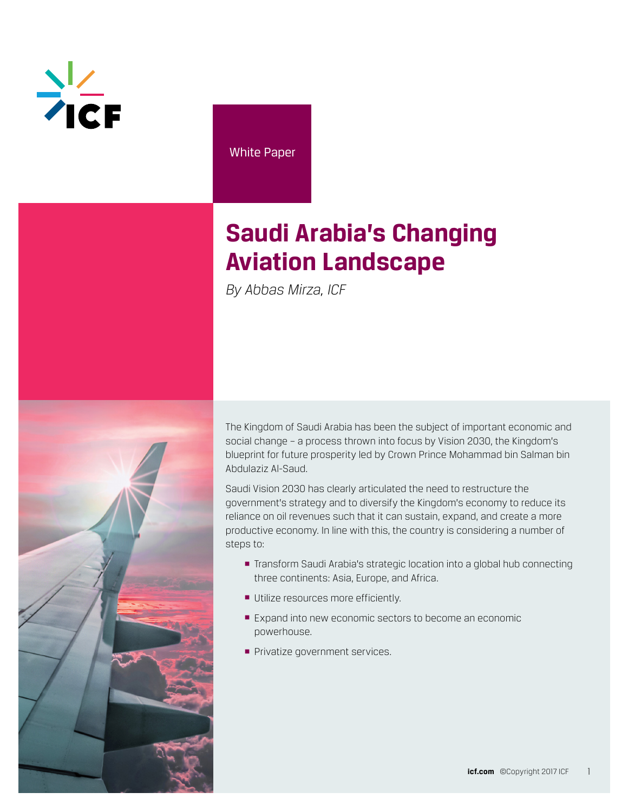

White Paper

# **Saudi Arabia's Changing Aviation Landscape**

*By Abbas Mirza, ICF*



The Kingdom of Saudi Arabia has been the subject of important economic and social change – a process thrown into focus by Vision 2030, the Kingdom's blueprint for future prosperity led by Crown Prince Mohammad bin Salman bin Abdulaziz Al-Saud.

Saudi Vision 2030 has clearly articulated the need to restructure the government's strategy and to diversify the Kingdom's economy to reduce its reliance on oil revenues such that it can sustain, expand, and create a more productive economy. In line with this, the country is considering a number of steps to:

- Transform Saudi Arabia's strategic location into a global hub connecting three continents: Asia, Europe, and Africa.
- **Utilize resources more efficiently.**
- Expand into new economic sectors to become an economic powerhouse.
- **Privatize government services.**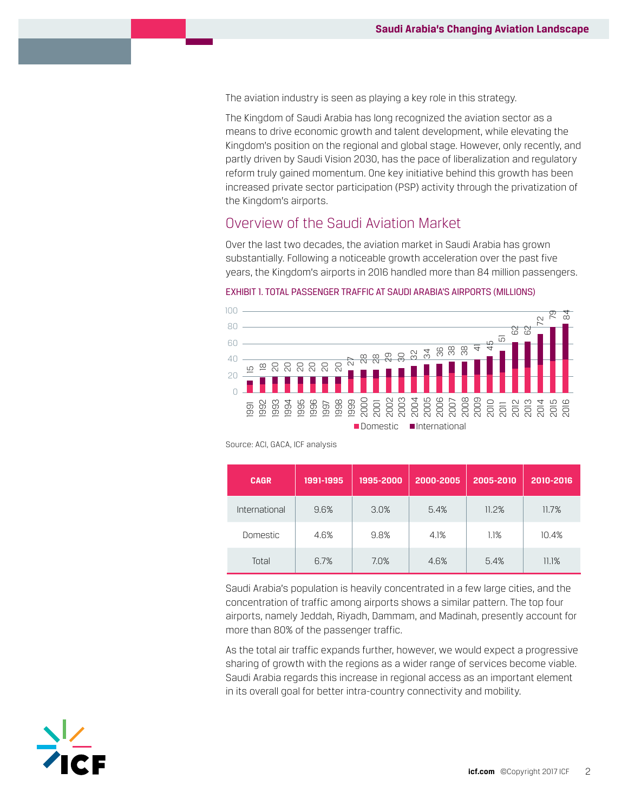The aviation industry is seen as playing a key role in this strategy.

The Kingdom of Saudi Arabia has long recognized the aviation sector as a means to drive economic growth and talent development, while elevating the Kingdom's position on the regional and global stage. However, only recently, and partly driven by Saudi Vision 2030, has the pace of liberalization and regulatory reform truly gained momentum. One key initiative behind this growth has been increased private sector participation (PSP) activity through the privatization of the Kingdom's airports.

# Overview of the Saudi Aviation Market

Over the last two decades, the aviation market in Saudi Arabia has grown substantially. Following a noticeable growth acceleration over the past five years, the Kingdom's airports in 2016 handled more than 84 million passengers.

#### EXHIBIT 1. TOTAL PASSENGER TRAFFIC AT SAUDI ARABIA'S AIRPORTS (MILLIONS)



Source: ACI, GACA, ICF analysis

| <b>CAGR</b>   | 1991-1995 | 1995-2000 | 2000-2005 | 2005-2010 | 2010-2016 |
|---------------|-----------|-----------|-----------|-----------|-----------|
| International | 9.6%      | 3.0%      | 5.4%      | 11.2%     | 11.7%     |
| Domestic      | 4.6%      | 9.8%      | 4.1%      | 1.1%      | 10.4%     |
| Total         | 6.7%      | 7.0%      | 4.6%      | 5.4%      | 11.1%     |

Saudi Arabia's population is heavily concentrated in a few large cities, and the concentration of traffic among airports shows a similar pattern. The top four airports, namely Jeddah, Riyadh, Dammam, and Madinah, presently account for more than 80% of the passenger traffic.

As the total air traffic expands further, however, we would expect a progressive sharing of growth with the regions as a wider range of services become viable. Saudi Arabia regards this increase in regional access as an important element in its overall goal for better intra-country connectivity and mobility.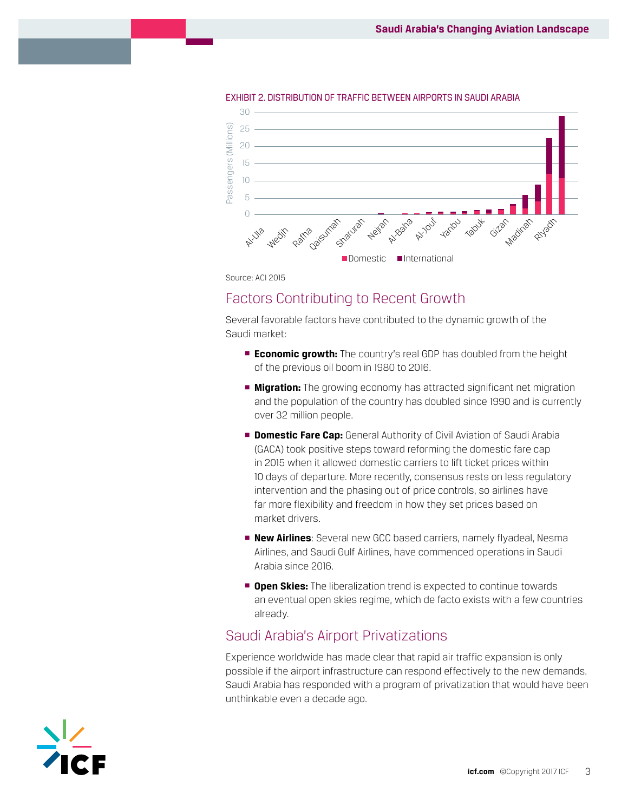

EXHIBIT 2. DISTRIBUTION OF TRAFFIC BETWEEN AIRPORTS IN SAUDI ARABIA

Source: ACI 2015

### Factors Contributing to Recent Growth

Several favorable factors have contributed to the dynamic growth of the Saudi market:

- **Economic growth:** The country's real GDP has doubled from the height of the previous oil boom in 1980 to 2016.
- **Kigration:** The growing economy has attracted significant net migration and the population of the country has doubled since 1990 and is currently over 32 million people.
- **Domestic Fare Cap:** General Authority of Civil Aviation of Saudi Arabia (GACA) took positive steps toward reforming the domestic fare cap in 2015 when it allowed domestic carriers to lift ticket prices within 10 days of departure. More recently, consensus rests on less regulatory intervention and the phasing out of price controls, so airlines have far more flexibility and freedom in how they set prices based on market drivers.
- § **New Airlines**: Several new GCC based carriers, namely flyadeal, Nesma Airlines, and Saudi Gulf Airlines, have commenced operations in Saudi Arabia since 2016.
- **<sup>open Skies: The liberalization trend is expected to continue towards**</sup> an eventual open skies regime, which de facto exists with a few countries already.

# Saudi Arabia's Airport Privatizations

Experience worldwide has made clear that rapid air traffic expansion is only possible if the airport infrastructure can respond effectively to the new demands. Saudi Arabia has responded with a program of privatization that would have been unthinkable even a decade ago.

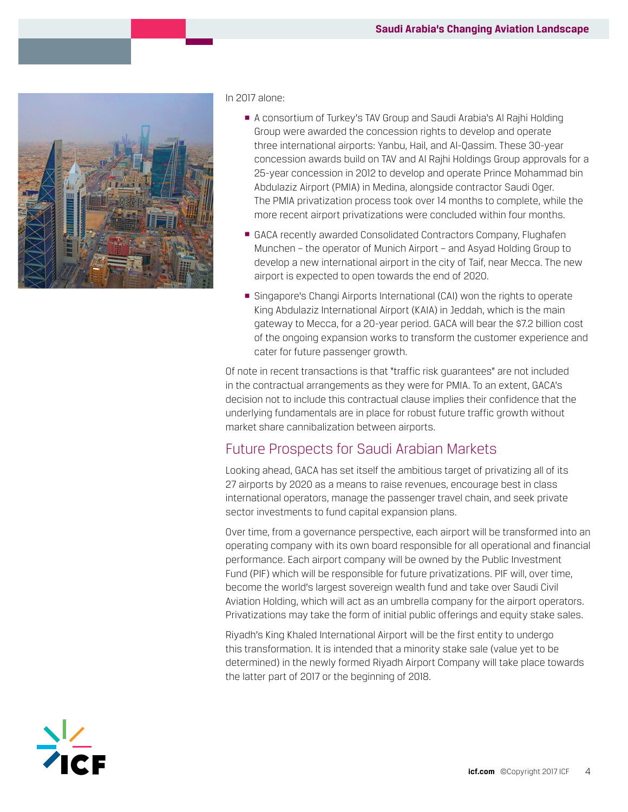

#### In 2017 alone:

- A consortium of Turkey's TAV Group and Saudi Arabia's Al Rajhi Holding Group were awarded the concession rights to develop and operate three international airports: Yanbu, Hail, and Al-Qassim. These 30-year concession awards build on TAV and Al Rajhi Holdings Group approvals for a 25-year concession in 2012 to develop and operate Prince Mohammad bin Abdulaziz Airport (PMIA) in Medina, alongside contractor Saudi Oger. The PMIA privatization process took over 14 months to complete, while the more recent airport privatizations were concluded within four months.
- GACA recently awarded Consolidated Contractors Company, Flughafen Munchen – the operator of Munich Airport – and Asyad Holding Group to develop a new international airport in the city of Taif, near Mecca. The new airport is expected to open towards the end of 2020.
- Singapore's Changi Airports International (CAI) won the rights to operate King Abdulaziz International Airport (KAIA) in Jeddah, which is the main gateway to Mecca, for a 20-year period. GACA will bear the \$7.2 billion cost of the ongoing expansion works to transform the customer experience and cater for future passenger growth.

Of note in recent transactions is that "traffic risk guarantees" are not included in the contractual arrangements as they were for PMIA. To an extent, GACA's decision not to include this contractual clause implies their confidence that the underlying fundamentals are in place for robust future traffic growth without market share cannibalization between airports.

## Future Prospects for Saudi Arabian Markets

Looking ahead, GACA has set itself the ambitious target of privatizing all of its 27 airports by 2020 as a means to raise revenues, encourage best in class international operators, manage the passenger travel chain, and seek private sector investments to fund capital expansion plans.

Over time, from a governance perspective, each airport will be transformed into an operating company with its own board responsible for all operational and financial performance. Each airport company will be owned by the Public Investment Fund (PIF) which will be responsible for future privatizations. PIF will, over time, become the world's largest sovereign wealth fund and take over Saudi Civil Aviation Holding, which will act as an umbrella company for the airport operators. Privatizations may take the form of initial public offerings and equity stake sales.

Riyadh's King Khaled International Airport will be the first entity to undergo this transformation. It is intended that a minority stake sale (value yet to be determined) in the newly formed Riyadh Airport Company will take place towards the latter part of 2017 or the beginning of 2018.

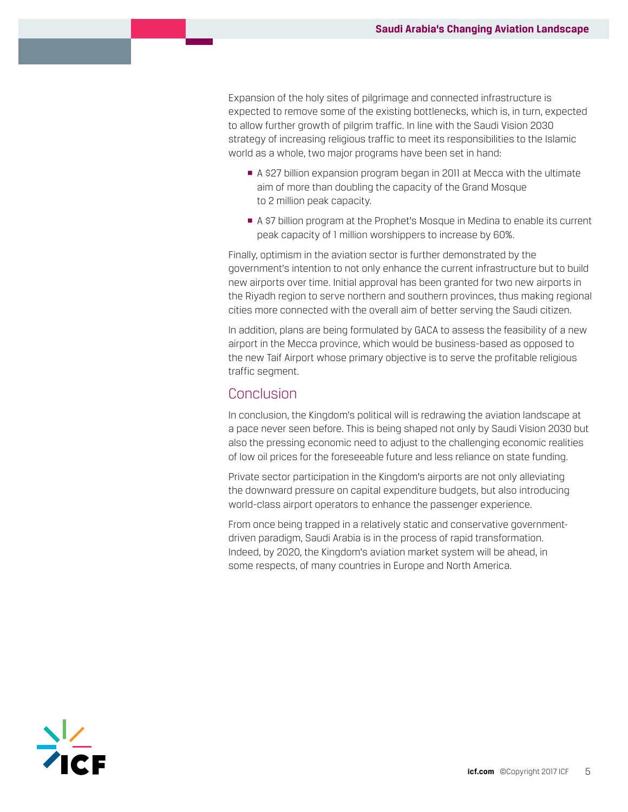Expansion of the holy sites of pilgrimage and connected infrastructure is expected to remove some of the existing bottlenecks, which is, in turn, expected to allow further growth of pilgrim traffic. In line with the Saudi Vision 2030 strategy of increasing religious traffic to meet its responsibilities to the Islamic world as a whole, two major programs have been set in hand:

- § A \$27 billion expansion program began in 2011 at Mecca with the ultimate aim of more than doubling the capacity of the Grand Mosque to 2 million peak capacity.
- A \$7 billion program at the Prophet's Mosque in Medina to enable its current peak capacity of 1 million worshippers to increase by 60%.

Finally, optimism in the aviation sector is further demonstrated by the government's intention to not only enhance the current infrastructure but to build new airports over time. Initial approval has been granted for two new airports in the Riyadh region to serve northern and southern provinces, thus making regional cities more connected with the overall aim of better serving the Saudi citizen.

In addition, plans are being formulated by GACA to assess the feasibility of a new airport in the Mecca province, which would be business-based as opposed to the new Taif Airport whose primary objective is to serve the profitable religious traffic segment.

## Conclusion

In conclusion, the Kingdom's political will is redrawing the aviation landscape at a pace never seen before. This is being shaped not only by Saudi Vision 2030 but also the pressing economic need to adjust to the challenging economic realities of low oil prices for the foreseeable future and less reliance on state funding.

Private sector participation in the Kingdom's airports are not only alleviating the downward pressure on capital expenditure budgets, but also introducing world-class airport operators to enhance the passenger experience.

From once being trapped in a relatively static and conservative governmentdriven paradigm, Saudi Arabia is in the process of rapid transformation. Indeed, by 2020, the Kingdom's aviation market system will be ahead, in some respects, of many countries in Europe and North America.